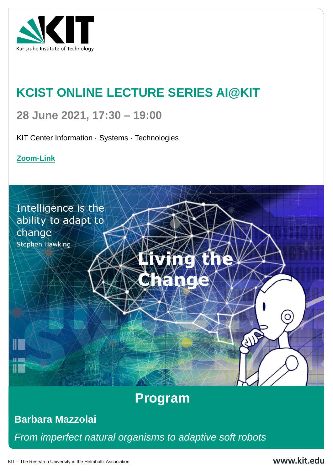

Karlsruhe Institute of Technology

KIT – The Research University in the Helmholtz Association



# **KCIST ONLINE LECTURE SERIES AI@KIT**

# **28 June 2021, 17:30 – 19:00**

### KIT Center Information · Systems · Technologies

#### **80 manufaceural containstimum importance in the edition of the containery containery importance in the edition of the edition of the containery containery in the entire containery containery containery in the entire conta** *From imperfect natural organisms to adaptive soft robots*



# **Barbara Mazzolai**

## **[Zoom-Link](https://kit-lecture.zoom.us/j/67534284617?pwd=SitFQmhhS3dSZ011RklyN2dNOFJTZz09)**

Intelligence is the ability to adapt to change **Stephen Hawking**